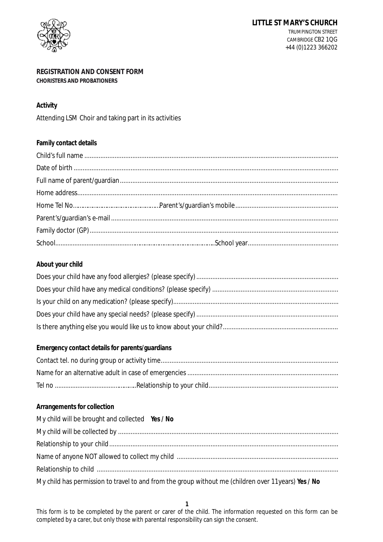

# **REGISTRATION AND CONSENT FORM CHORISTERS AND PROBATIONERS**

# **Activity**

Attending LSM Choir and taking part in its activities

| Family contact details |  |
|------------------------|--|
|                        |  |
|                        |  |
|                        |  |
|                        |  |
|                        |  |
|                        |  |
|                        |  |
|                        |  |

# **About your child**

#### **Arrangements for collection**

| My child will be brought and collected Yes / No                                                      |
|------------------------------------------------------------------------------------------------------|
|                                                                                                      |
|                                                                                                      |
|                                                                                                      |
|                                                                                                      |
| My child has permission to travel to and from the group without me (children over 11 years) Yes / No |

This form is to be completed by the parent or carer of the child. The information requested on this form can be completed by a carer, but only those with parental responsibility can sign the consent.